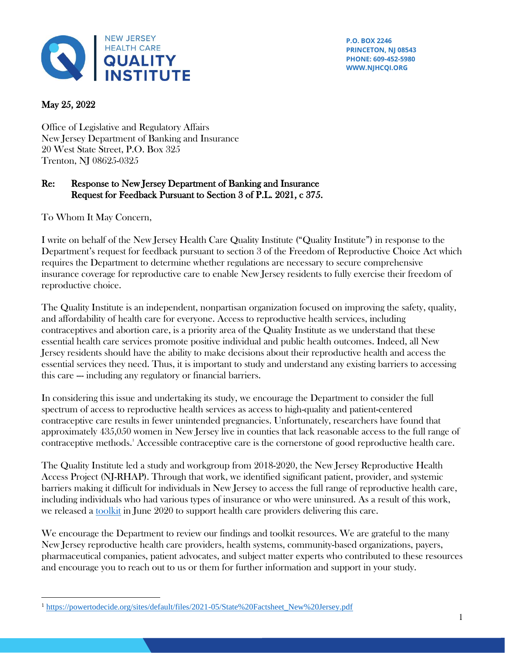

**P.O. BOX 2246 PRINCETON, NJ 08543 PHONE: 609-452-5980 WWW.NJHCQI.ORG**

## May 25, 2022

Office of Legislative and Regulatory Affairs New Jersey Department of Banking and Insurance 20 West State Street, P.O. Box 325 Trenton, NJ 08625-0325

## Re: Response to New Jersey Department of Banking and Insurance Request for Feedback Pursuant to Section 3 of P.L. 2021, c 375.

To Whom It May Concern,

I write on behalf of the New Jersey Health Care Quality Institute ("Quality Institute") in response to the Department's request for feedback pursuant to section 3 of the Freedom of Reproductive Choice Act which requires the Department to determine whether regulations are necessary to secure comprehensive insurance coverage for reproductive care to enable New Jersey residents to fully exercise their freedom of reproductive choice.

The Quality Institute is an independent, nonpartisan organization focused on improving the safety, quality, and affordability of health care for everyone. Access to reproductive health services, including contraceptives and abortion care, is a priority area of the Quality Institute as we understand that these essential health care services promote positive individual and public health outcomes. Indeed, all New Jersey residents should have the ability to make decisions about their reproductive health and access the essential services they need. Thus, it is important to study and understand any existing barriers to accessing this care --- including any regulatory or financial barriers.

In considering this issue and undertaking its study, we encourage the Department to consider the full spectrum of access to reproductive health services as access to high-quality and patient-centered contraceptive care results in fewer unintended pregnancies. Unfortunately, researchers have found that approximately 435,050 women in New Jersey live in counties that lack reasonable access to the full range of contraceptive methods. <sup>1</sup> Accessible contraceptive care is the cornerstone of good reproductive health care.

The Quality Institute led a study and workgroup from 2018-2020, the New Jersey Reproductive Health Access Project (NJ-RHAP). Through that work, we identified significant patient, provider, and systemic barriers making it difficult for individuals in New Jersey to access the full range of reproductive health care, including individuals who had various types of insurance or who were uninsured. As a result of this work, we released a [toolkit](https://www.njhcqi.org/wp-content/uploads/2020/05/NJRHAP-Full-Toolkit.pdf) in June 2020 to support health care providers delivering this care.

We encourage the Department to review our findings and toolkit resources. We are grateful to the many New Jersey reproductive health care providers, health systems, community-based organizations, payers, pharmaceutical companies, patient advocates, and subject matter experts who contributed to these resources and encourage you to reach out to us or them for further information and support in your study.

<sup>1</sup> [https://powertodecide.org/sites/default/files/2021-05/State%20Factsheet\\_New%20Jersey.pdf](https://powertodecide.org/sites/default/files/2021-05/State%20Factsheet_New%20Jersey.pdf)